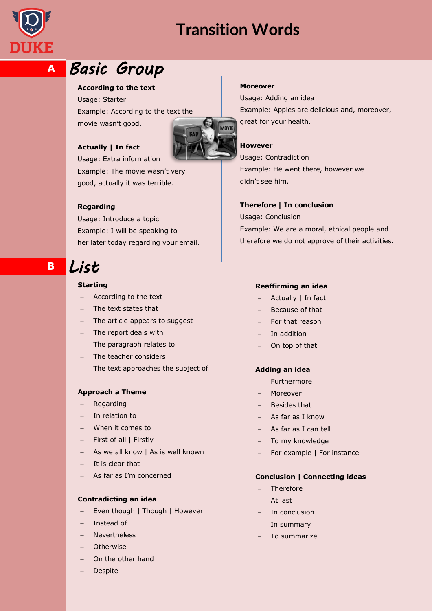



**A**

# *Basic Group*

# **According to the text**

Usage: Starter Example: According to the text the movie wasn"t good.



# **Actually | In fact**

Usage: Extra information Example: The movie wasn't very good, actually it was terrible.

# **Regarding**

Usage: Introduce a topic Example: I will be speaking to her later today regarding your email.

# *List*

**B**

### **Starting**

- According to the text
- The text states that
- The article appears to suggest
- The report deals with
- The paragraph relates to
- The teacher considers
- The text approaches the subject of

# **Approach a Theme**

- Regarding
- In relation to
- When it comes to
- First of all | Firstly
- As we all know | As is well known
- It is clear that
- As far as I"m concerned

### **Contradicting an idea**

- Even though | Though | However
- Instead of
- Nevertheless
- **Otherwise**
- On the other hand
- Despite

#### **Moreover**

Usage: Adding an idea Example: Apples are delicious and, moreover, great for your health.

# **However**

Usage: Contradiction Example: He went there, however we didn"t see him.

#### **Therefore | In conclusion**

Usage: Conclusion Example: We are a moral, ethical people and therefore we do not approve of their activities.

#### **Reaffirming an idea**

- Actually | In fact
- Because of that
- For that reason
- In addition
- On top of that

# **Adding an idea**

- Furthermore
- Moreover
- Besides that
- As far as I know
- As far as I can tell
- To my knowledge
- For example | For instance

#### **Conclusion | Connecting ideas**

- Therefore
- At last
- In conclusion
- $-$  In summary
- To summarize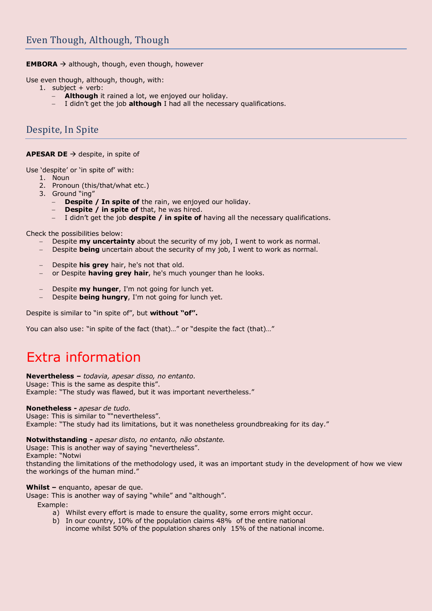**EMBORA**  $\rightarrow$  although, though, even though, however

Use even though, although, though, with:

- 1. subject + verb:
	- **Although** it rained a lot, we enjoyed our holiday.
	- I didn"t get the job **although** I had all the necessary qualifications.

# Despite, In Spite

# **APESAR DE** → despite, in spite of

Use 'despite' or 'in spite of' with:

- 1. Noun
- 2. Pronoun (this/that/what etc.)
- 3. Ground "ing"
	- **Despite / In spite of** the rain, we enjoyed our holiday.
	- **Despite / in spite of** that, he was hired.
	- I didn"t get the job **despite / in spite of** having all the necessary qualifications.

Check the possibilities below:

- Despite **my uncertainty** about the security of my job, I went to work as normal.
- Despite **being** uncertain about the security of my job, I went to work as normal.
- Despite **his grey** hair, he's not that old.
- or Despite **having grey hair**, he's much younger than he looks.
- Despite **my hunger**, I'm not going for lunch yet.
- Despite **being hungry**, I'm not going for lunch yet.

Despite is similar to "in spite of", but **without "of".** 

You can also use: "in spite of the fact (that)..." or "despite the fact (that)..."

# Extra information

**Nevertheless –** *todavia, apesar disso, no entanto.*

Usage: This is the same as despite this". Example: "The study was flawed, but it was important nevertheless."

#### **Nonetheless -** *apesar de tudo.*

Usage: This is similar to ""nevertheless". Example: "The study had its limitations, but it was nonetheless groundbreaking for its day."

**Notwithstanding -** *apesar disto, no entanto, não obstante.*

Usage: This is another way of saying "nevertheless". Example: "Notwi

thstanding the limitations of the methodology used, it was an important study in the development of how we view the workings of the human mind."

**Whilst –** enquanto, apesar de que.

Usage: This is another way of saying "while" and "although".

Example:

a) Whilst every effort is made to ensure the quality, some errors might occur.

b) In our country, 10% of the population claims 48% of the entire national

income whilst 50% of the population shares only 15% of the national income.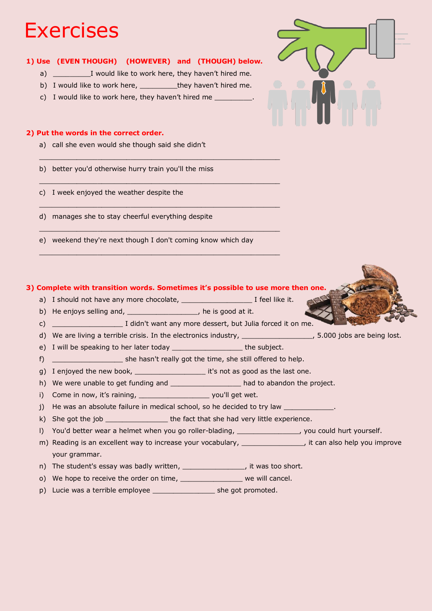# **Exercises**

# **1) Use (EVEN THOUGH) (HOWEVER) and (THOUGH) below.**

- a) I would like to work here, they haven't hired me.
- b) I would like to work here, they haven't hired me.

 $\_$  . The contribution of the contribution of the contribution of the contribution of  $\mathcal{L}_\mathcal{A}$ 

 $\_$  . The contribution of the contribution of the contribution of the contribution of  $\mathcal{L}_\mathcal{A}$ 

 $\_$  . The contribution of the contribution of the contribution of the contribution of  $\mathcal{L}_\mathcal{A}$ 

\_\_\_\_\_\_\_\_\_\_\_\_\_\_\_\_\_\_\_\_\_\_\_\_\_\_\_\_\_\_\_\_\_\_\_\_\_\_\_\_\_\_\_\_\_\_\_\_\_\_\_\_\_\_\_\_\_\_

 $\_$  , and the state of the state of the state of the state of the state of the state of the state of the state of the state of the state of the state of the state of the state of the state of the state of the state of the

c) I would like to work here, they haven't hired me

# **2) Put the words in the correct order.**

- a) call she even would she though said she didn"t
- b) better you'd otherwise hurry train you'll the miss
- c) I week enjoyed the weather despite the
- d) manages she to stay cheerful everything despite
- e) weekend they're next though I don't coming know which day

# **3) Complete with transition words. Sometimes it's possible to use more then one.**

- a) I should not have any more chocolate, \_\_\_\_\_\_\_\_\_\_\_\_\_\_\_\_\_ I feel like it.
- b) He enjoys selling and, \_\_\_\_\_\_\_\_\_\_\_\_\_\_\_\_\_\_, he is good at it.
- c) I didn't want any more dessert, but Julia forced it on me.
- d) We are living a terrible crisis. In the electronics industry, \_\_\_\_\_\_\_\_\_\_\_\_\_\_\_, 5.000 jobs are being lost.
- e) I will be speaking to her later today \_\_\_\_\_\_\_\_\_\_\_\_\_\_\_\_\_\_\_\_\_\_ the subject.
- f) \_\_\_\_\_\_\_\_\_\_\_\_\_\_\_\_\_ she hasn't really got the time, she still offered to help.
- g) I enjoyed the new book, \_\_\_\_\_\_\_\_\_\_\_\_\_\_\_\_\_\_\_\_\_\_ it's not as good as the last one.
- h) We were unable to get funding and \_\_\_\_\_\_\_\_\_\_\_\_\_\_\_\_\_\_\_\_ had to abandon the project.

i) Come in now, it's raining, the same would get wet.

- j) He was an absolute failure in medical school, so he decided to try law  $\Box$
- k) She got the job \_\_\_\_\_\_\_\_\_\_\_\_\_\_\_\_\_\_ the fact that she had very little experience.
- l) You'd better wear a helmet when you go roller-blading, \_\_\_\_\_\_\_\_\_\_\_\_\_\_\_\_, you could hurt yourself.
- m) Reading is an excellent way to increase your vocabulary, \_\_\_\_\_\_\_\_\_\_\_\_\_\_\_, it can also help you improve your grammar.
- n) The student's essay was badly written, \_\_\_\_\_\_\_\_\_\_\_\_\_\_\_\_, it was too short.
- o) We hope to receive the order on time, we will cancel.
- p) Lucie was a terrible employee \_\_\_\_\_\_\_\_\_\_\_\_\_\_\_\_\_\_\_\_ she got promoted.